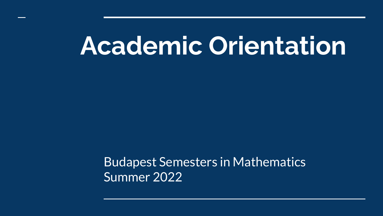# **Academic Orientation**

Budapest Semesters in Mathematics Summer 2022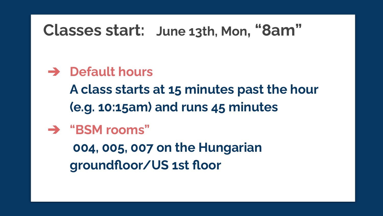#### **Classes start: June 13th, Mon, "8am"**

#### ➔ **Default hours**

**A class starts at 15 minutes past the hour (e.g. 10:15am) and runs 45 minutes**

#### ➔ **"BSM rooms" 004, 005, 007 on the Hungarian groundfloor/US 1st floor**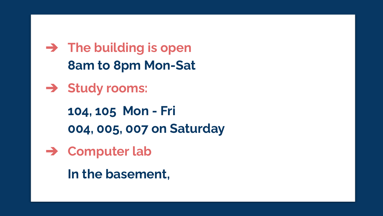➔ **The building is open 8am to 8pm Mon-Sat**

➔ **Study rooms:**

**104, 105 Mon - Fri 004, 005, 007 on Saturday**

➔ **Computer lab**

**In the basement,**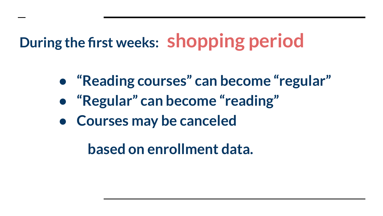### **During the first weeks: shopping period**

- **● "Reading courses" can become "regular"**
- **● "Regular" can become "reading"**
- **● Courses may be canceled**

 **based on enrollment data.**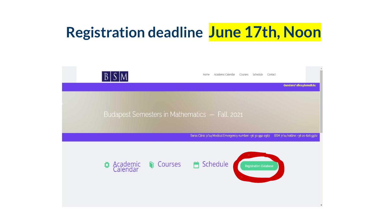#### **Registration deadline June 17th, Noon**

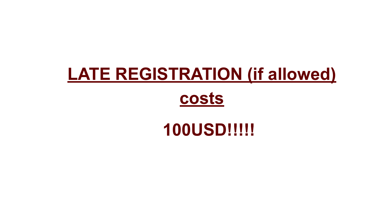### **LATE REGISTRATION (if allowed)**

#### **costs**

#### **100USD!!!!!**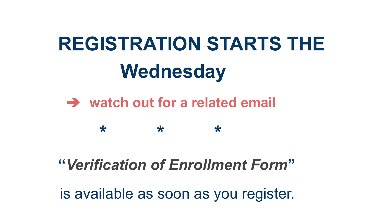# **REGISTRATION STARTS THE Wednesday**

#### ➔ **watch out for a related email**

**\* \* \***

#### **"***Verification of Enrollment Form***"**

is available as soon as you register.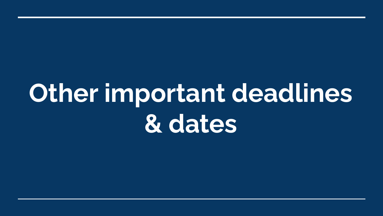# **Other important deadlines & dates**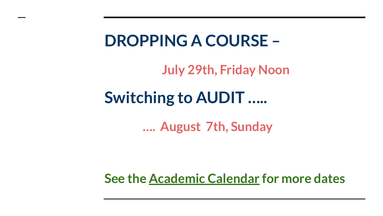#### **DROPPING A COURSE –**

**July 29th, Friday Noon**

#### **Switching to AUDIT …..**

**…. August 7th, Sunday**

**See the [Academic Calendar](https://www.bsmath.hu/CURRENT/Logistics.html) for more dates**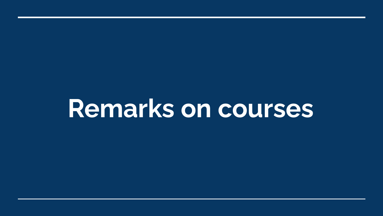# **Remarks on courses**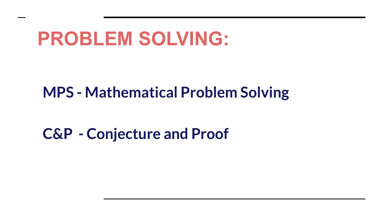## **PROBLEM SOLVING:**

#### **MPS - Mathematical Problem Solving**

#### **C&P - Conjecture and Proof**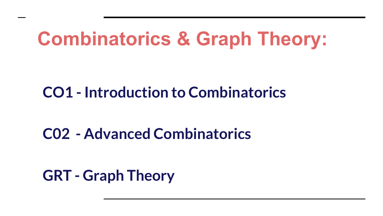## **Combinatorics & Graph Theory:**

#### **CO1 - Introduction to Combinatorics**

#### **C02 - Advanced Combinatorics**

**GRT - Graph Theory**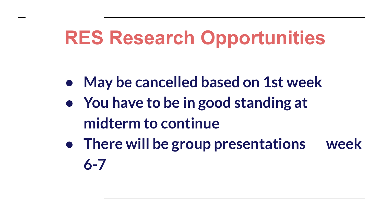## **RES Research Opportunities**

- **● May be cancelled based on 1st week**
- **● You have to be in good standing at midterm to continue**
- **● There will be group presentations week 6-7**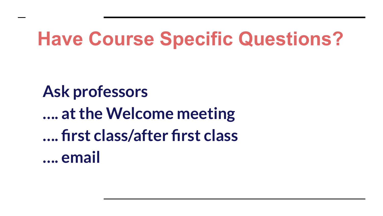## **Have Course Specific Questions?**

**Ask professors …. at the Welcome meeting …. first class/after first class …. email**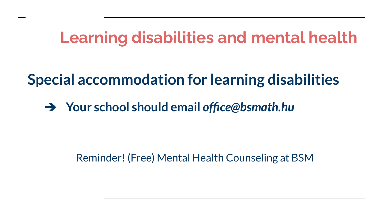#### **Learning disabilities and mental health**

#### **Special accommodation for learning disabilities**

➔ **Your school should email** *office@bsmath.hu*

Reminder! (Free) Mental Health Counseling at BSM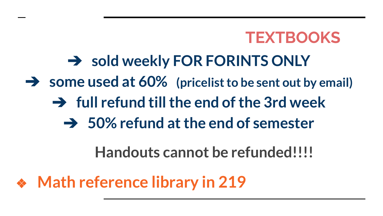#### **TEXTBOOKS**

#### ➔ **sold weekly FOR FORINTS ONLY**

- ➔ **some used at 60% (pricelist to be sent out by email)**
	- ➔ **full refund till the end of the 3rd week**
		- ➔ **50% refund at the end of semester**

 **Handouts cannot be refunded!!!!**

❖ **Math reference library in 219**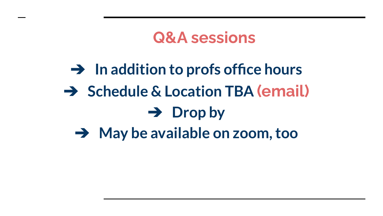#### **Q&A sessions**

### ➔ **In addition to profs office hours** ➔ **Schedule & Location TBA (email)** ➔ **Drop by**  ➔ **May be available on zoom, too**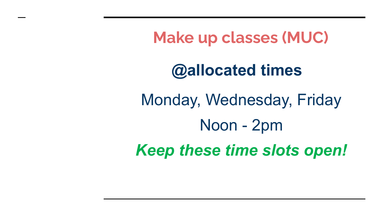**Make up classes (MUC)**

#### **@allocated times**

Monday, Wednesday, Friday Noon - 2pm *Keep these time slots open!*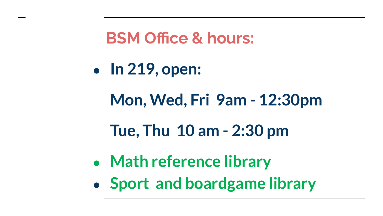**BSM Office & hours:**

**● In 219, open:**

**Mon, Wed, Fri 9am - 12:30pm**

**Tue, Thu 10 am - 2:30 pm**

- **● Math reference library**
- **● Sport and boardgame library**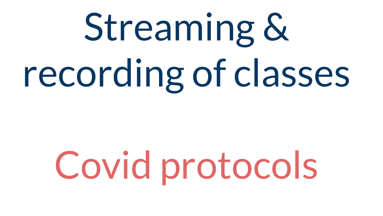# Streaming & recording of classes

# Covid protocols